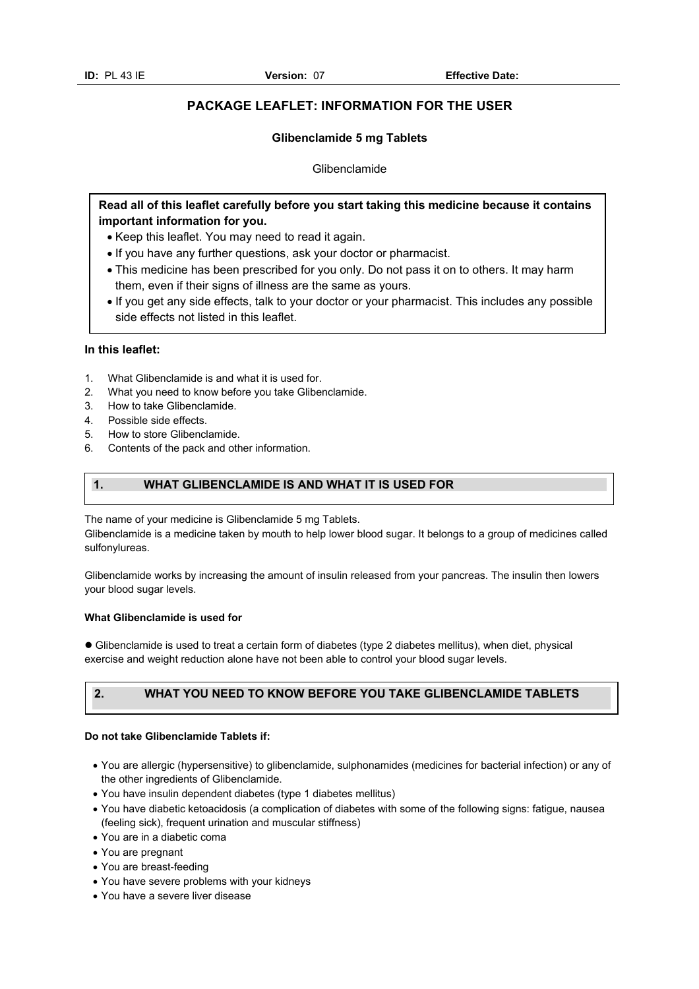# **PACKAGE LEAFLET: INFORMATION FOR THE USER**

# **Glibenclamide 5 mg Tablets**

Glibenclamide

# **Read all of this leaflet carefully before you start taking this medicine because it contains important information for you.**

- Keep this leaflet. You may need to read it again.
- If you have any further questions, ask your doctor or pharmacist.
- This medicine has been prescribed for you only. Do not pass it on to others. It may harm them, even if their signs of illness are the same as yours.
- If you get any side effects, talk to your doctor or your pharmacist. This includes any possible side effects not listed in this leaflet.

# **In this leaflet:**

- 1. What Glibenclamide is and what it is used for.
- 2. What you need to know before you take Glibenclamide.
- 3. How to take Glibenclamide.
- 4. Possible side effects.
- 5. How to store Glibenclamide.
- 6. Contents of the pack and other information.

# **1. WHAT GLIBENCLAMIDE IS AND WHAT IT IS USED FOR**

The name of your medicine is Glibenclamide 5 mg Tablets.

Glibenclamide is a medicine taken by mouth to help lower blood sugar. It belongs to a group of medicines called sulfonylureas.

Glibenclamide works by increasing the amount of insulin released from your pancreas. The insulin then lowers your blood sugar levels.

# **What Glibenclamide is used for**

 Glibenclamide is used to treat a certain form of diabetes (type 2 diabetes mellitus), when diet, physical exercise and weight reduction alone have not been able to control your blood sugar levels.

# **2. WHAT YOU NEED TO KNOW BEFORE YOU TAKE GLIBENCLAMIDE TABLETS**

#### **Do not take Glibenclamide Tablets if:**

- You are allergic (hypersensitive) to glibenclamide, sulphonamides (medicines for bacterial infection) or any of the other ingredients of Glibenclamide.
- You have insulin dependent diabetes (type 1 diabetes mellitus)
- You have diabetic ketoacidosis (a complication of diabetes with some of the following signs: fatigue, nausea (feeling sick), frequent urination and muscular stiffness)
- You are in a diabetic coma
- You are pregnant
- You are breast-feeding
- You have severe problems with your kidneys
- You have a severe liver disease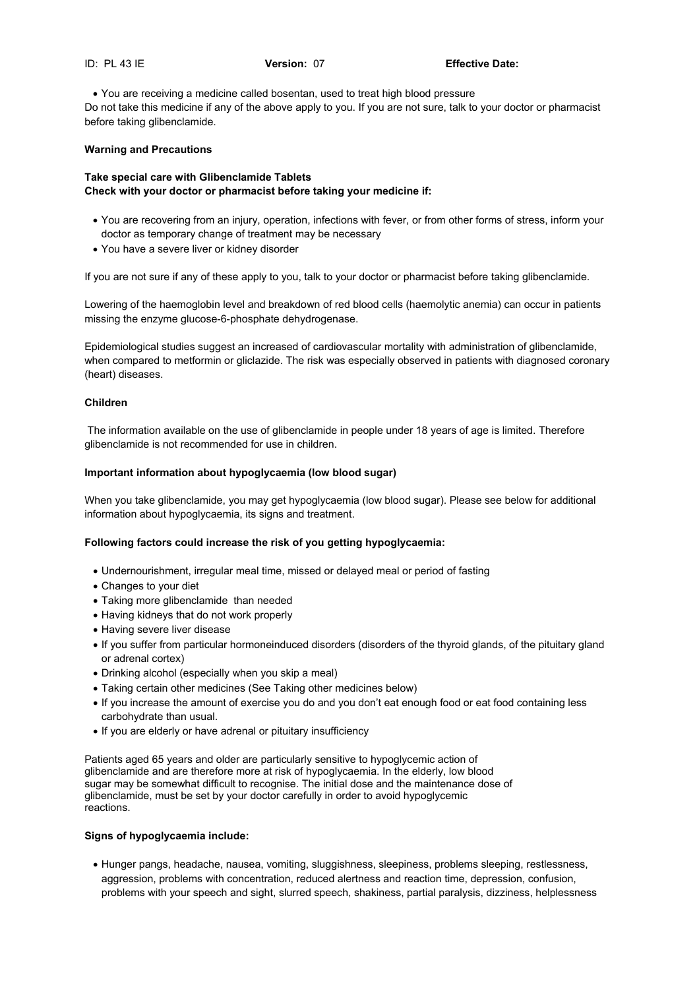You are receiving a medicine called bosentan, used to treat high blood pressure Do not take this medicine if any of the above apply to you. If you are not sure, talk to your doctor or pharmacist before taking glibenclamide.

# **Warning and Precautions**

# **Take special care with Glibenclamide Tablets Check with your doctor or pharmacist before taking your medicine if:**

- You are recovering from an injury, operation, infections with fever, or from other forms of stress, inform your doctor as temporary change of treatment may be necessary
- You have a severe liver or kidney disorder

If you are not sure if any of these apply to you, talk to your doctor or pharmacist before taking glibenclamide.

Lowering of the haemoglobin level and breakdown of red blood cells (haemolytic anemia) can occur in patients missing the enzyme glucose-6-phosphate dehydrogenase.

Epidemiological studies suggest an increased of cardiovascular mortality with administration of glibenclamide, when compared to metformin or gliclazide. The risk was especially observed in patients with diagnosed coronary (heart) diseases.

# **Children**

 The information available on the use of glibenclamide in people under 18 years of age is limited. Therefore glibenclamide is not recommended for use in children.

# **Important information about hypoglycaemia (low blood sugar)**

When you take glibenclamide, you may get hypoglycaemia (low blood sugar). Please see below for additional information about hypoglycaemia, its signs and treatment.

# **Following factors could increase the risk of you getting hypoglycaemia:**

- Undernourishment, irregular meal time, missed or delayed meal or period of fasting
- Changes to your diet
- Taking more glibenclamide than needed
- Having kidneys that do not work properly
- Having severe liver disease
- If you suffer from particular hormoneinduced disorders (disorders of the thyroid glands, of the pituitary gland or adrenal cortex)
- Drinking alcohol (especially when you skip a meal)
- Taking certain other medicines (See Taking other medicines below)
- If you increase the amount of exercise you do and you don't eat enough food or eat food containing less carbohydrate than usual.
- If you are elderly or have adrenal or pituitary insufficiency

Patients aged 65 years and older are particularly sensitive to hypoglycemic action of glibenclamide and are therefore more at risk of hypoglycaemia. In the elderly, low blood sugar may be somewhat difficult to recognise. The initial dose and the maintenance dose of glibenclamide, must be set by your doctor carefully in order to avoid hypoglycemic reactions.

# **Signs of hypoglycaemia include:**

 Hunger pangs, headache, nausea, vomiting, sluggishness, sleepiness, problems sleeping, restlessness, aggression, problems with concentration, reduced alertness and reaction time, depression, confusion, problems with your speech and sight, slurred speech, shakiness, partial paralysis, dizziness, helplessness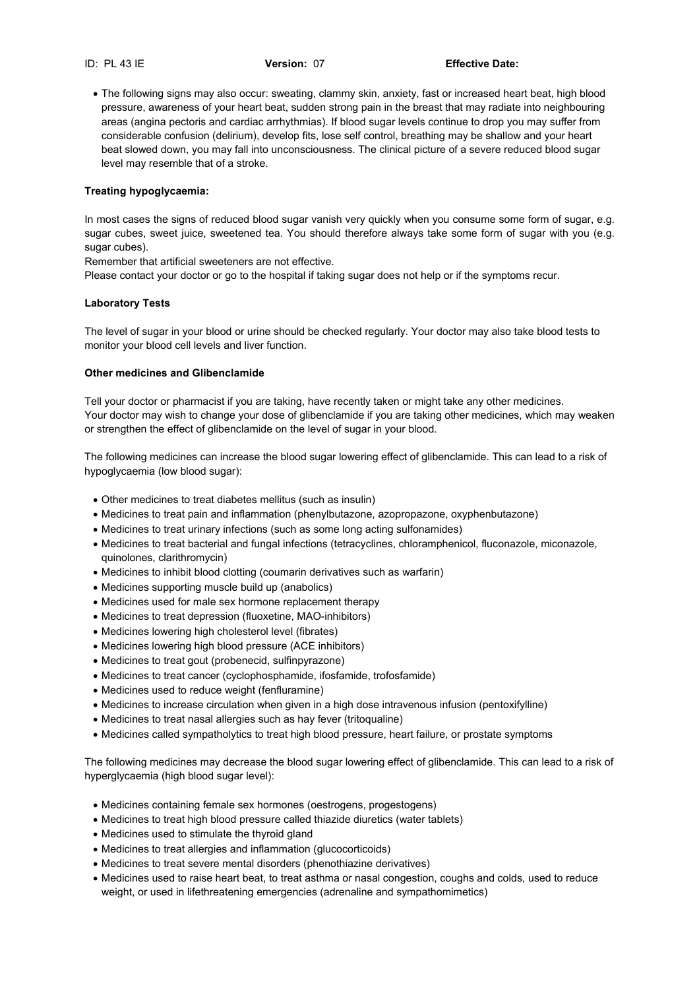The following signs may also occur: sweating, clammy skin, anxiety, fast or increased heart beat, high blood pressure, awareness of your heart beat, sudden strong pain in the breast that may radiate into neighbouring areas (angina pectoris and cardiac arrhythmias). If blood sugar levels continue to drop you may suffer from considerable confusion (delirium), develop fits, lose self control, breathing may be shallow and your heart beat slowed down, you may fall into unconsciousness. The clinical picture of a severe reduced blood sugar level may resemble that of a stroke.

# **Treating hypoglycaemia:**

In most cases the signs of reduced blood sugar vanish very quickly when you consume some form of sugar, e.g. sugar cubes, sweet juice, sweetened tea. You should therefore always take some form of sugar with you (e.g. sugar cubes).

Remember that artificial sweeteners are not effective.

Please contact your doctor or go to the hospital if taking sugar does not help or if the symptoms recur.

# **Laboratory Tests**

The level of sugar in your blood or urine should be checked regularly. Your doctor may also take blood tests to monitor your blood cell levels and liver function.

# **Other medicines and Glibenclamide**

Tell your doctor or pharmacist if you are taking, have recently taken or might take any other medicines. Your doctor may wish to change your dose of glibenclamide if you are taking other medicines, which may weaken or strengthen the effect of glibenclamide on the level of sugar in your blood.

The following medicines can increase the blood sugar lowering effect of glibenclamide. This can lead to a risk of hypoglycaemia (low blood sugar):

- Other medicines to treat diabetes mellitus (such as insulin)
- Medicines to treat pain and inflammation (phenylbutazone, azopropazone, oxyphenbutazone)
- Medicines to treat urinary infections (such as some long acting sulfonamides)
- Medicines to treat bacterial and fungal infections (tetracyclines, chloramphenicol, fluconazole, miconazole, quinolones, clarithromycin)
- Medicines to inhibit blood clotting (coumarin derivatives such as warfarin)
- Medicines supporting muscle build up (anabolics)
- Medicines used for male sex hormone replacement therapy
- Medicines to treat depression (fluoxetine, MAO-inhibitors)
- Medicines lowering high cholesterol level (fibrates)
- Medicines lowering high blood pressure (ACE inhibitors)
- Medicines to treat gout (probenecid, sulfinpyrazone)
- Medicines to treat cancer (cyclophosphamide, ifosfamide, trofosfamide)
- Medicines used to reduce weight (fenfluramine)
- Medicines to increase circulation when given in a high dose intravenous infusion (pentoxifylline)
- Medicines to treat nasal allergies such as hay fever (tritoqualine)
- Medicines called sympatholytics to treat high blood pressure, heart failure, or prostate symptoms

The following medicines may decrease the blood sugar lowering effect of glibenclamide. This can lead to a risk of hyperglycaemia (high blood sugar level):

- Medicines containing female sex hormones (oestrogens, progestogens)
- Medicines to treat high blood pressure called thiazide diuretics (water tablets)
- Medicines used to stimulate the thyroid gland
- Medicines to treat allergies and inflammation (glucocorticoids)
- Medicines to treat severe mental disorders (phenothiazine derivatives)
- Medicines used to raise heart beat, to treat asthma or nasal congestion, coughs and colds, used to reduce weight, or used in lifethreatening emergencies (adrenaline and sympathomimetics)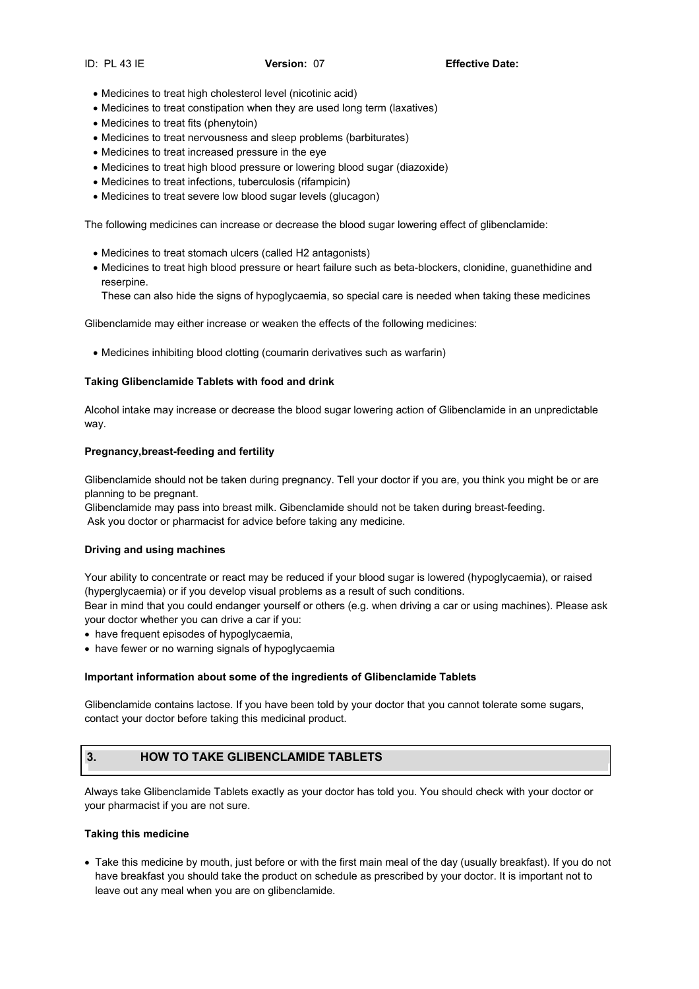- Medicines to treat high cholesterol level (nicotinic acid)
- Medicines to treat constipation when they are used long term (laxatives)
- Medicines to treat fits (phenytoin)
- Medicines to treat nervousness and sleep problems (barbiturates)
- Medicines to treat increased pressure in the eye
- Medicines to treat high blood pressure or lowering blood sugar (diazoxide)
- Medicines to treat infections, tuberculosis (rifampicin)
- Medicines to treat severe low blood sugar levels (glucagon)

The following medicines can increase or decrease the blood sugar lowering effect of glibenclamide:

- Medicines to treat stomach ulcers (called H2 antagonists)
- Medicines to treat high blood pressure or heart failure such as beta-blockers, clonidine, guanethidine and reserpine.
	- These can also hide the signs of hypoglycaemia, so special care is needed when taking these medicines

Glibenclamide may either increase or weaken the effects of the following medicines:

Medicines inhibiting blood clotting (coumarin derivatives such as warfarin)

# **Taking Glibenclamide Tablets with food and drink**

Alcohol intake may increase or decrease the blood sugar lowering action of Glibenclamide in an unpredictable way.

# **Pregnancy,breast-feeding and fertility**

Glibenclamide should not be taken during pregnancy. Tell your doctor if you are, you think you might be or are planning to be pregnant.

Glibenclamide may pass into breast milk. Gibenclamide should not be taken during breast-feeding. Ask you doctor or pharmacist for advice before taking any medicine.

# **Driving and using machines**

Your ability to concentrate or react may be reduced if your blood sugar is lowered (hypoglycaemia), or raised (hyperglycaemia) or if you develop visual problems as a result of such conditions.

Bear in mind that you could endanger yourself or others (e.g. when driving a car or using machines). Please ask your doctor whether you can drive a car if you:

- have frequent episodes of hypoglycaemia,
- have fewer or no warning signals of hypoglycaemia

# **Important information about some of the ingredients of Glibenclamide Tablets**

Glibenclamide contains lactose. If you have been told by your doctor that you cannot tolerate some sugars, contact your doctor before taking this medicinal product.

# **3. HOW TO TAKE GLIBENCLAMIDE TABLETS**

Always take Glibenclamide Tablets exactly as your doctor has told you. You should check with your doctor or your pharmacist if you are not sure.

# **Taking this medicine**

 Take this medicine by mouth, just before or with the first main meal of the day (usually breakfast). If you do not have breakfast you should take the product on schedule as prescribed by your doctor. It is important not to leave out any meal when you are on glibenclamide.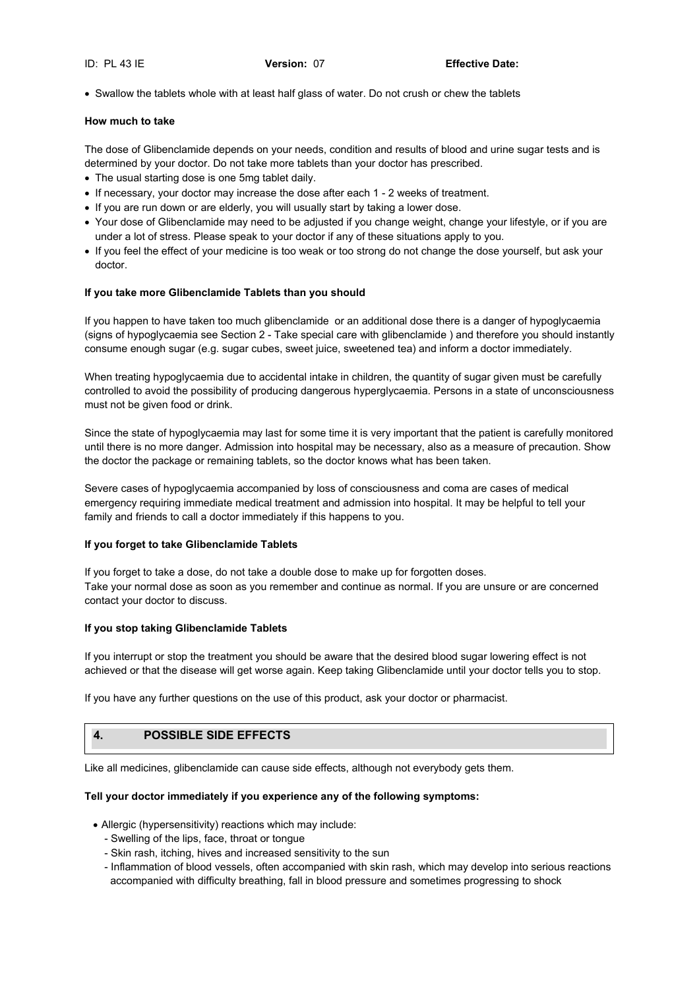Swallow the tablets whole with at least half glass of water. Do not crush or chew the tablets

# **How much to take**

The dose of Glibenclamide depends on your needs, condition and results of blood and urine sugar tests and is determined by your doctor. Do not take more tablets than your doctor has prescribed.

- The usual starting dose is one 5mg tablet daily.
- If necessary, your doctor may increase the dose after each 1 2 weeks of treatment.
- If you are run down or are elderly, you will usually start by taking a lower dose.
- Your dose of Glibenclamide may need to be adjusted if you change weight, change your lifestyle, or if you are under a lot of stress. Please speak to your doctor if any of these situations apply to you.
- If you feel the effect of your medicine is too weak or too strong do not change the dose yourself, but ask your doctor.

# **If you take more Glibenclamide Tablets than you should**

If you happen to have taken too much glibenclamide or an additional dose there is a danger of hypoglycaemia (signs of hypoglycaemia see Section 2 - Take special care with glibenclamide ) and therefore you should instantly consume enough sugar (e.g. sugar cubes, sweet juice, sweetened tea) and inform a doctor immediately.

When treating hypoglycaemia due to accidental intake in children, the quantity of sugar given must be carefully controlled to avoid the possibility of producing dangerous hyperglycaemia. Persons in a state of unconsciousness must not be given food or drink.

Since the state of hypoglycaemia may last for some time it is very important that the patient is carefully monitored until there is no more danger. Admission into hospital may be necessary, also as a measure of precaution. Show the doctor the package or remaining tablets, so the doctor knows what has been taken.

Severe cases of hypoglycaemia accompanied by loss of consciousness and coma are cases of medical emergency requiring immediate medical treatment and admission into hospital. It may be helpful to tell your family and friends to call a doctor immediately if this happens to you.

# **If you forget to take Glibenclamide Tablets**

If you forget to take a dose, do not take a double dose to make up for forgotten doses. Take your normal dose as soon as you remember and continue as normal. If you are unsure or are concerned contact your doctor to discuss.

# **If you stop taking Glibenclamide Tablets**

If you interrupt or stop the treatment you should be aware that the desired blood sugar lowering effect is not achieved or that the disease will get worse again. Keep taking Glibenclamide until your doctor tells you to stop.

If you have any further questions on the use of this product, ask your doctor or pharmacist.

# **4. POSSIBLE SIDE EFFECTS**

Like all medicines, glibenclamide can cause side effects, although not everybody gets them.

# **Tell your doctor immediately if you experience any of the following symptoms:**

- Allergic (hypersensitivity) reactions which may include:
	- Swelling of the lips, face, throat or tongue
	- Skin rash, itching, hives and increased sensitivity to the sun
	- Inflammation of blood vessels, often accompanied with skin rash, which may develop into serious reactions accompanied with difficulty breathing, fall in blood pressure and sometimes progressing to shock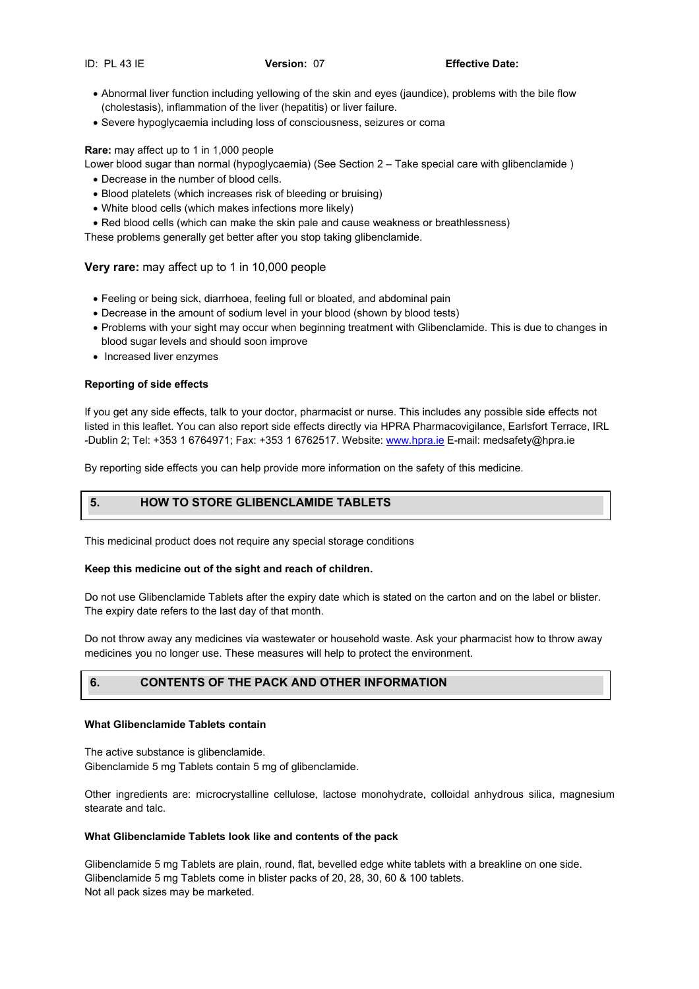- Abnormal liver function including yellowing of the skin and eyes (jaundice), problems with the bile flow (cholestasis), inflammation of the liver (hepatitis) or liver failure.
- Severe hypoglycaemia including loss of consciousness, seizures or coma

# **Rare:** may affect up to 1 in 1,000 people

Lower blood sugar than normal (hypoglycaemia) (See Section 2 – Take special care with glibenclamide )

- Decrease in the number of blood cells.
- Blood platelets (which increases risk of bleeding or bruising)
- White blood cells (which makes infections more likely)
- Red blood cells (which can make the skin pale and cause weakness or breathlessness)

These problems generally get better after you stop taking glibenclamide.

# **Very rare:** may affect up to 1 in 10,000 people

- Feeling or being sick, diarrhoea, feeling full or bloated, and abdominal pain
- Decrease in the amount of sodium level in your blood (shown by blood tests)
- Problems with your sight may occur when beginning treatment with Glibenclamide. This is due to changes in blood sugar levels and should soon improve
- Increased liver enzymes

# **Reporting of side effects**

If you get any side effects, talk to your doctor, pharmacist or nurse. This includes any possible side effects not listed in this leaflet. You can also report side effects directly via HPRA Pharmacovigilance, Earlsfort Terrace, IRL -Dublin 2; Tel: +353 1 6764971; Fax: +353 1 6762517. Website: www.hpra.ie E-mail: medsafety@hpra.ie

By reporting side effects you can help provide more information on the safety of this medicine.

#### **medicine. 5. HOW TO STORE GLIBENCLAMIDE TABLETS**

This medicinal product does not require any special storage conditions

# **Keep this medicine out of the sight and reach of children.**

Do not use Glibenclamide Tablets after the expiry date which is stated on the carton and on the label or blister. The expiry date refers to the last day of that month.

Do not throw away any medicines via wastewater or household waste. Ask your pharmacist how to throw away medicines you no longer use. These measures will help to protect the environment.

# **6. CONTENTS OF THE PACK AND OTHER INFORMATION**

# **What Glibenclamide Tablets contain**

The active substance is glibenclamide. Gibenclamide 5 mg Tablets contain 5 mg of glibenclamide.

Other ingredients are: microcrystalline cellulose, lactose monohydrate, colloidal anhydrous silica, magnesium stearate and talc.

# **What Glibenclamide Tablets look like and contents of the pack**

Glibenclamide 5 mg Tablets are plain, round, flat, bevelled edge white tablets with a breakline on one side. Glibenclamide 5 mg Tablets come in blister packs of 20, 28, 30, 60 & 100 tablets. Not all pack sizes may be marketed.